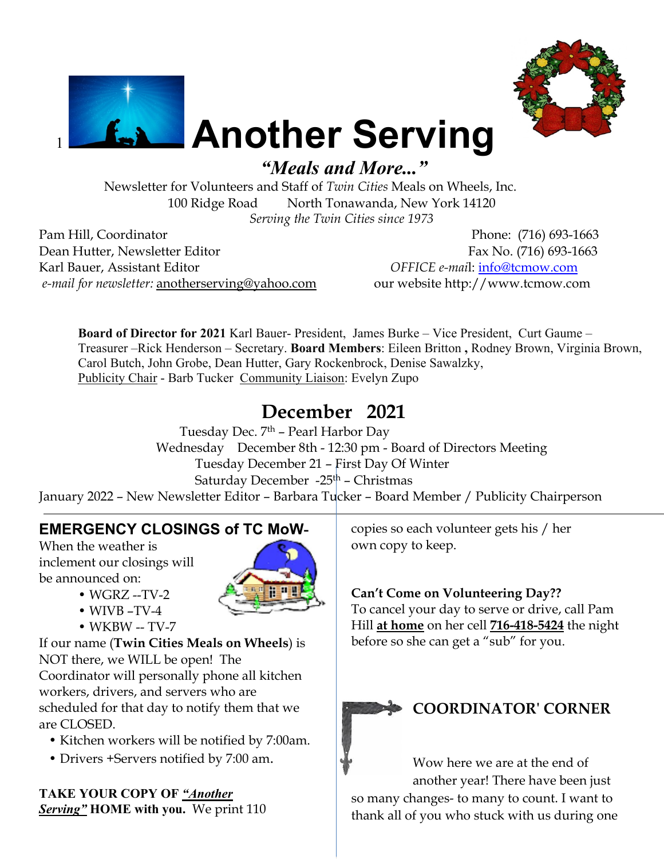



# **Another Serving**

 *"Meals and More..."*

Newsletter for Volunteers and Staff of *Twin Cities* Meals on Wheels, Inc. 100 Ridge Road North Tonawanda, New York 14120 *Serving the Twin Cities since 1973* 

Pam Hill, Coordinator Phone: (716) 693-1663 Dean Hutter, Newsletter Editor Fax No. (716) 693-1663 Karl Bauer, Assistant Editor *OFFICE e-mai*l: [info@tcmow.com](mailto:info@tcmow.com) *e-mail for newsletter:* [anotherserving@yahoo.com](mailto:kebblues@yahoo.com) our website http://www.tcmow.com

**Board of Director for 2021** Karl Bauer- President, James Burke – Vice President, Curt Gaume – Treasurer –Rick Henderson – Secretary. **Board Members**: Eileen Britton **,** Rodney Brown, Virginia Brown, Carol Butch, John Grobe, Dean Hutter, Gary Rockenbrock, Denise Sawalzky, Publicity Chair - Barb Tucker Community Liaison: Evelyn Zupo

# **December 2021**

Tuesday Dec. 7<sup>th</sup> - Pearl Harbor Day Wednesday December 8th - 12:30 pm - Board of Directors Meeting Tuesday December 21 – First Day Of Winter Saturday December  $-25<sup>th</sup>$  – Christmas January 2022 – New Newsletter Editor – Barbara Tucker – Board Member / Publicity Chairperson

# **EMERGENCY CLOSINGS of TC MoW-**

When the weather is inclement our closings will be announced on:



- WGRZ --TV-2
- WIVB –TV-4
- WKBW -- TV-7

If our name (**Twin Cities Meals on Wheels**) is NOT there, we WILL be open! The Coordinator will personally phone all kitchen workers, drivers, and servers who are scheduled for that day to notify them that we are CLOSED.

- Kitchen workers will be notified by 7:00am.
- Drivers +Servers notified by 7:00 am.

**TAKE YOUR COPY OF** *"Another Serving"* **HOME with you.** We print 110 copies so each volunteer gets his / her own copy to keep.

# **Can't Come on Volunteering Day??**

To cancel your day to serve or drive, call Pam Hill **at home** on her cell **716-418-5424** the night before so she can get a "sub" for you.



# **COORDINATOR' CORNER**

Wow here we are at the end of another year! There have been just so many changes- to many to count. I want to thank all of you who stuck with us during one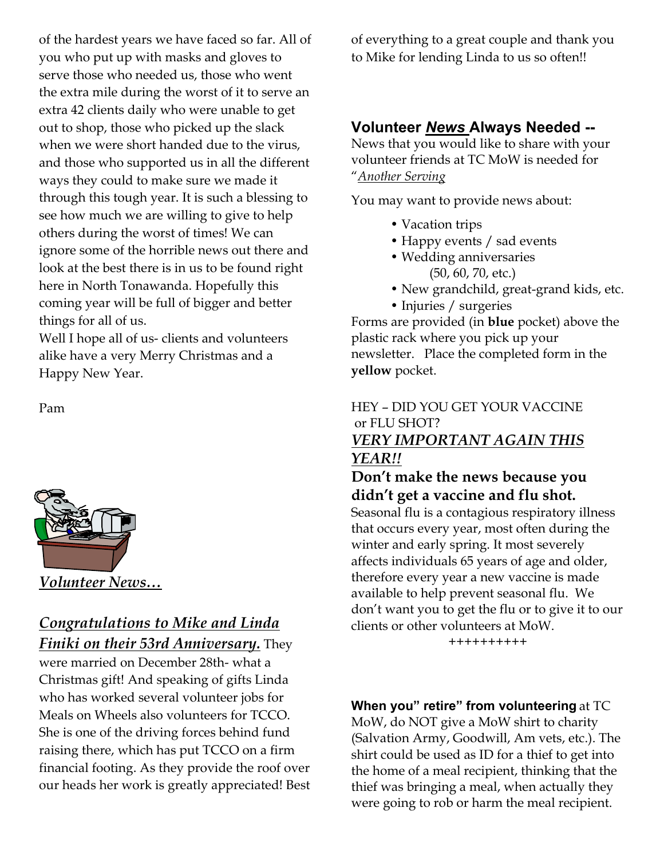of the hardest years we have faced so far. All of you who put up with masks and gloves to serve those who needed us, those who went the extra mile during the worst of it to serve an extra 42 clients daily who were unable to get out to shop, those who picked up the slack when we were short handed due to the virus, and those who supported us in all the different ways they could to make sure we made it through this tough year. It is such a blessing to see how much we are willing to give to help others during the worst of times! We can ignore some of the horrible news out there and look at the best there is in us to be found right here in North Tonawanda. Hopefully this coming year will be full of bigger and better things for all of us.

Well I hope all of us- clients and volunteers alike have a very Merry Christmas and a Happy New Year.

Pam



# *Congratulations to Mike and Linda Finiki on their 53rd Anniversary.* They

were married on December 28th- what a Christmas gift! And speaking of gifts Linda who has worked several volunteer jobs for Meals on Wheels also volunteers for TCCO. She is one of the driving forces behind fund raising there, which has put TCCO on a firm financial footing. As they provide the roof over our heads her work is greatly appreciated! Best of everything to a great couple and thank you to Mike for lending Linda to us so often!!

# **Volunteer** *News* **Always Needed --**

News that you would like to share with your volunteer friends at TC MoW is needed for "*Another Serving*

You may want to provide news about:

- Vacation trips
- Happy events / sad events
- Wedding anniversaries (50, 60, 70, etc.)
- New grandchild, great-grand kids, etc.
- Injuries / surgeries

Forms are provided (in **blue** pocket) above the plastic rack where you pick up your newsletter. Place the completed form in the **yellow** pocket.

## HEY – DID YOU GET YOUR VACCINE or FLU SHOT?

## *VERY IMPORTANT AGAIN THIS YEAR!!*

## **Don't make the news because you didn't get a vaccine and flu shot.**

Seasonal flu is a contagious respiratory illness that occurs every year, most often during the winter and early spring. It most severely affects individuals 65 years of age and older, therefore every year a new vaccine is made available to help prevent seasonal flu. We don't want you to get the flu or to give it to our clients or other volunteers at MoW.

++++++++++

**When you" retire" from volunteering** at TC MoW, do NOT give a MoW shirt to charity

(Salvation Army, Goodwill, Am vets, etc.). The shirt could be used as ID for a thief to get into the home of a meal recipient, thinking that the thief was bringing a meal, when actually they were going to rob or harm the meal recipient.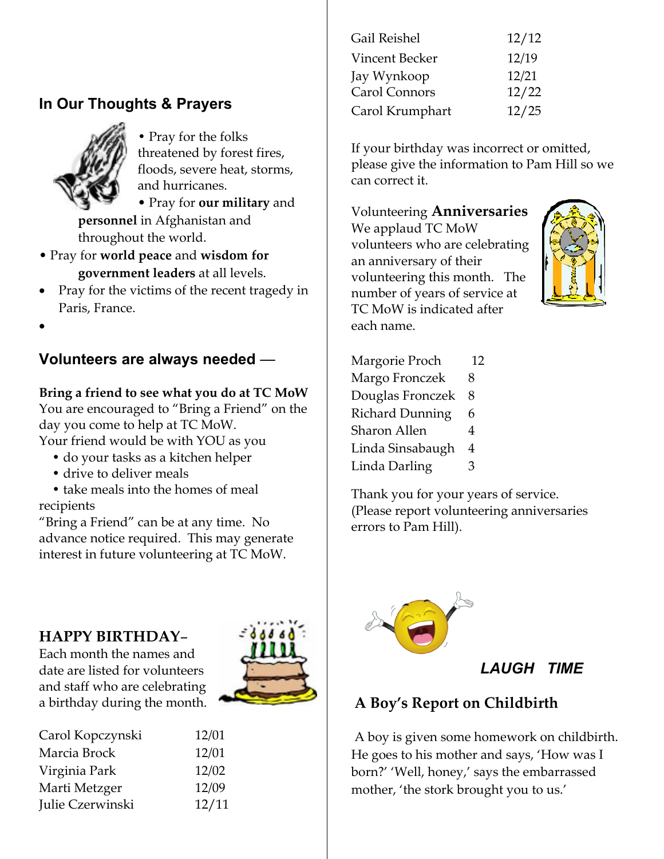# **In Our Thoughts & Prayers**



• Pray for the folks threatened by forest fires, floods, severe heat, storms, and hurricanes.

• Pray for **our military** and **personnel** in Afghanistan and throughout the world.

- Pray for **world peace** and **wisdom for government leaders** at all levels.
- Pray for the victims of the recent tragedy in Paris, France.
- $\bullet$

# **Volunteers are always needed** —

#### **Bring a friend to see what you do at TC MoW**

You are encouraged to "Bring a Friend" on the day you come to help at TC MoW.

Your friend would be with YOU as you

- do your tasks as a kitchen helper
- drive to deliver meals

 • take meals into the homes of meal recipients

"Bring a Friend" can be at any time. No advance notice required. This may generate interest in future volunteering at TC MoW.

# **HAPPY BIRTHDAY**–

Each month the names and date are listed for volunteers and staff who are celebrating a birthday during the month.



| Carol Kopczynski | 12/01 |
|------------------|-------|
| Marcia Brock     | 12/01 |
| Virginia Park    | 12/02 |
| Marti Metzger    | 12/09 |
| Julie Czerwinski | 12/11 |

| Gail Reishel    | 12/12 |
|-----------------|-------|
| Vincent Becker  | 12/19 |
| Jay Wynkoop     | 12/21 |
| Carol Connors   | 12/22 |
| Carol Krumphart | 12/25 |
|                 |       |

If your birthday was incorrect or omitted, please give the information to Pam Hill so we can correct it.

Volunteering **Anniversaries**  We applaud TC MoW volunteers who are celebrating an anniversary of their volunteering this month. The number of years of service at TC MoW is indicated after each name.



| Margorie Proch         | 12 |
|------------------------|----|
| Margo Fronczek         | 8  |
| Douglas Fronczek       | 8  |
| <b>Richard Dunning</b> | 6  |
| Sharon Allen           | 4  |
| Linda Sinsabaugh       | 4  |
| Linda Darling          | З  |
|                        |    |

Thank you for your years of service. (Please report volunteering anniversaries errors to Pam Hill).



*LAUGH TIME*

# **A Boy's Report on Childbirth**

 A boy is given some homework on childbirth. He goes to his mother and says, 'How was I born?' 'Well, honey,' says the embarrassed mother, 'the stork brought you to us.'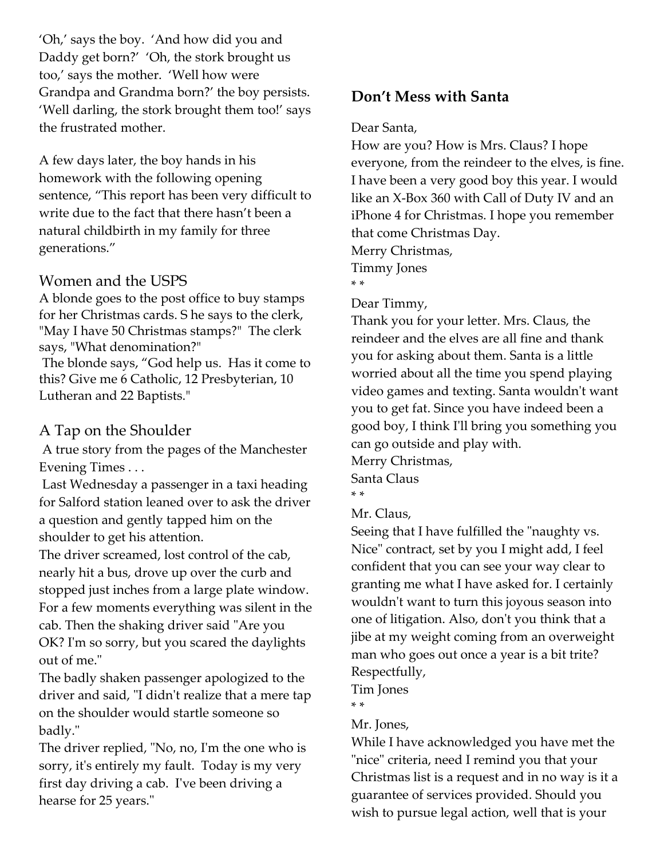'Oh,' says the boy. 'And how did you and Daddy get born?' 'Oh, the stork brought us too,' says the mother. 'Well how were Grandpa and Grandma born?' the boy persists. 'Well darling, the stork brought them too!' says the frustrated mother.

A few days later, the boy hands in his homework with the following opening sentence, "This report has been very difficult to write due to the fact that there hasn't been a natural childbirth in my family for three generations."

#### Women and the USPS

A blonde goes to the post office to buy stamps for her Christmas cards. S he says to the clerk, "May I have 50 Christmas stamps?" The clerk says, "What denomination?" The blonde says, "God help us. Has it come to this? Give me 6 Catholic, 12 Presbyterian, 10 Lutheran and 22 Baptists."

#### A Tap on the Shoulder

 A true story from the pages of the Manchester Evening Times . . .

 Last Wednesday a passenger in a taxi heading for Salford station leaned over to ask the driver a question and gently tapped him on the shoulder to get his attention.

The driver screamed, lost control of the cab, nearly hit a bus, drove up over the curb and stopped just inches from a large plate window. For a few moments everything was silent in the cab. Then the shaking driver said "Are you OK? I'm so sorry, but you scared the daylights out of me."

The badly shaken passenger apologized to the driver and said, "I didn't realize that a mere tap on the shoulder would startle someone so badly."

The driver replied, "No, no, I'm the one who is sorry, it's entirely my fault. Today is my very first day driving a cab. I've been driving a hearse for 25 years."

## **Don't Mess with Santa**

#### Dear Santa,

How are you? How is Mrs. Claus? I hope everyone, from the reindeer to the elves, is fine. I have been a very good boy this year. I would like an X-Box 360 with Call of Duty IV and an iPhone 4 for Christmas. I hope you remember that come Christmas Day. Merry Christmas, Timmy Jones

\* \*

#### Dear Timmy,

Thank you for your letter. Mrs. Claus, the reindeer and the elves are all fine and thank you for asking about them. Santa is a little worried about all the time you spend playing video games and texting. Santa wouldn't want you to get fat. Since you have indeed been a good boy, I think I'll bring you something you can go outside and play with.

Merry Christmas,

Santa Claus \* \*

Mr. Claus,

Seeing that I have fulfilled the "naughty vs. Nice" contract, set by you I might add, I feel confident that you can see your way clear to granting me what I have asked for. I certainly wouldn't want to turn this joyous season into one of litigation. Also, don't you think that a jibe at my weight coming from an overweight man who goes out once a year is a bit trite? Respectfully,

Tim Jones

\* \*

#### Mr. Jones,

While I have acknowledged you have met the "nice" criteria, need I remind you that your Christmas list is a request and in no way is it a guarantee of services provided. Should you wish to pursue legal action, well that is your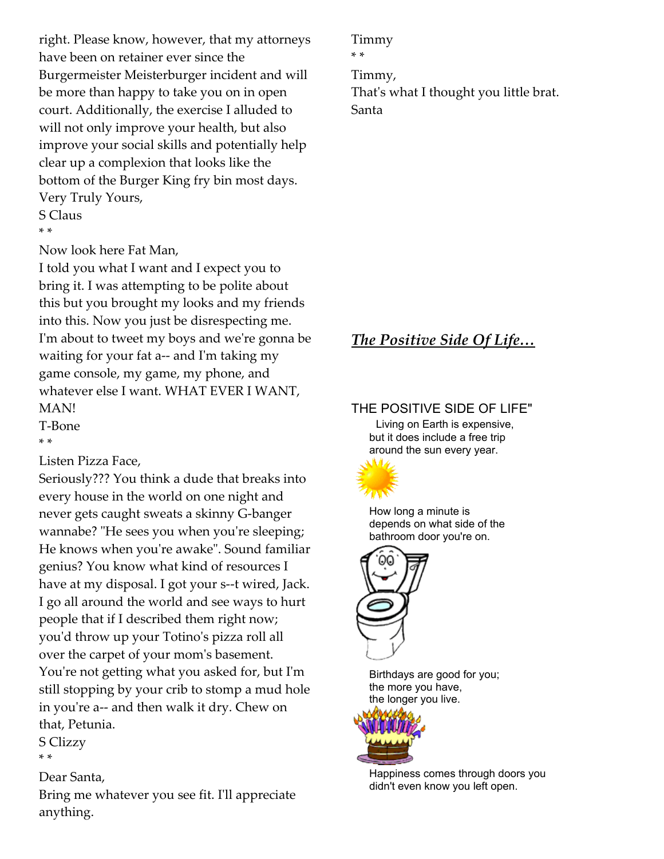right. Please know, however, that my attorneys have been on retainer ever since the Burgermeister Meisterburger incident and will be more than happy to take you on in open court. Additionally, the exercise I alluded to will not only improve your health, but also improve your social skills and potentially help clear up a complexion that looks like the bottom of the Burger King fry bin most days. Very Truly Yours,

S Claus \* \*

Now look here Fat Man,

I told you what I want and I expect you to bring it. I was attempting to be polite about this but you brought my looks and my friends into this. Now you just be disrespecting me. I'm about to tweet my boys and we're gonna be waiting for your fat a-- and I'm taking my game console, my game, my phone, and whatever else I want. WHAT EVER I WANT, MAN!

T-Bone

\* \*

Listen Pizza Face,

Seriously??? You think a dude that breaks into every house in the world on one night and never gets caught sweats a skinny G-banger wannabe? "He sees you when you're sleeping; He knows when you're awake". Sound familiar genius? You know what kind of resources I have at my disposal. I got your s--t wired, Jack. I go all around the world and see ways to hurt people that if I described them right now; you'd throw up your Totino's pizza roll all over the carpet of your mom's basement. You're not getting what you asked for, but I'm still stopping by your crib to stomp a mud hole in you're a-- and then walk it dry. Chew on that, Petunia.

S Clizzy \* \*

Dear Santa, Bring me whatever you see fit. I'll appreciate anything.

Timmy \* \* Timmy, That's what I thought you little brat. Santa

# *The Positive Side Of Life…*

## THE POSITIVE SIDE OF LIFE"

 Living on Earth is expensive, but it does include a free trip around the sun every year.



 How long a minute is depends on what side of the bathroom door you're on.



 Birthdays are good for you; the more you have, the longer you live.



 Happiness comes through doors you didn't even know you left open.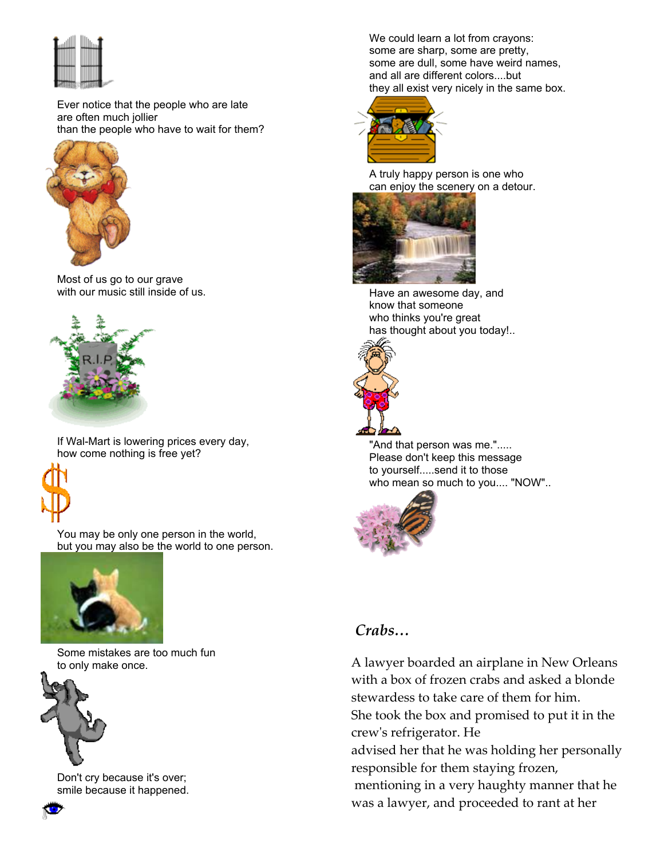

 Ever notice that the people who are late are often much jollier than the people who have to wait for them?



 Most of us go to our grave with our music still inside of us.



 If Wal-Mart is lowering prices every day, how come nothing is free yet?



 You may be only one person in the world, but you may also be the world to one person.



 Some mistakes are too much fun to only make once.



 Don't cry because it's over; smile because it happened.  We could learn a lot from crayons: some are sharp, some are pretty, some are dull, some have weird names, and all are different colors....but they all exist very nicely in the same box.



 A truly happy person is one who can enjoy the scenery on a detour.



 Have an awesome day, and know that someone who thinks you're great has thought about you today!..



"And that person was me."..... Please don't keep this message to yourself.....send it to those who mean so much to you.... "NOW"..



## *Crabs…*

A lawyer boarded an airplane in New Orleans with a box of frozen crabs and asked a blonde stewardess to take care of them for him. She took the box and promised to put it in the crew's refrigerator. He

advised her that he was holding her personally responsible for them staying frozen,

 mentioning in a very haughty manner that he was a lawyer, and proceeded to rant at her

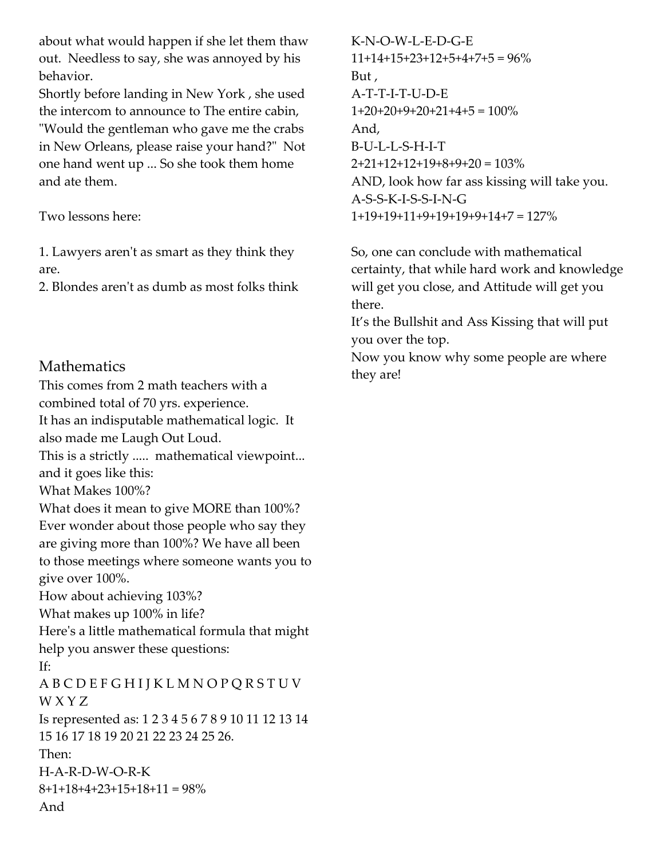about what would happen if she let them thaw out. Needless to say, she was annoyed by his behavior.

Shortly before landing in New York , she used the intercom to announce to The entire cabin, "Would the gentleman who gave me the crabs in New Orleans, please raise your hand?" Not one hand went up ... So she took them home and ate them.

Two lessons here:

1. Lawyers aren't as smart as they think they are.

2. Blondes aren't as dumb as most folks think

# Mathematics

This comes from 2 math teachers with a combined total of 70 yrs. experience. It has an indisputable mathematical logic. It also made me Laugh Out Loud. This is a strictly ..... mathematical viewpoint... and it goes like this: What Makes 100%? What does it mean to give MORE than 100%? Ever wonder about those people who say they are giving more than 100%? We have all been to those meetings where someone wants you to give over 100%. How about achieving 103%? What makes up 100% in life? Here's a little mathematical formula that might help you answer these questions: If: A B C D E F G H I J K L M N O P Q R S T U V W X Y Z Is represented as: 1 2 3 4 5 6 7 8 9 10 11 12 13 14 15 16 17 18 19 20 21 22 23 24 25 26. Then: H-A-R-D-W-O-R-K  $8+1+18+4+23+15+18+11=98\%$ And

K-N-O-W-L-E-D-G-E  $11+14+15+23+12+5+4+7+5=96\%$ But , A-T-T-I-T-U-D-E  $1+20+20+9+20+21+4+5=100\%$ And, B-U-L-L-S-H-I-T  $2+21+12+12+19+8+9+20=103%$ AND, look how far ass kissing will take you. A-S-S-K-I-S-S-I-N-G 1+19+19+11+9+19+19+9+14+7 = 127%

So, one can conclude with mathematical certainty, that while hard work and knowledge will get you close, and Attitude will get you there.

It's the Bullshit and Ass Kissing that will put you over the top.

Now you know why some people are where they are!